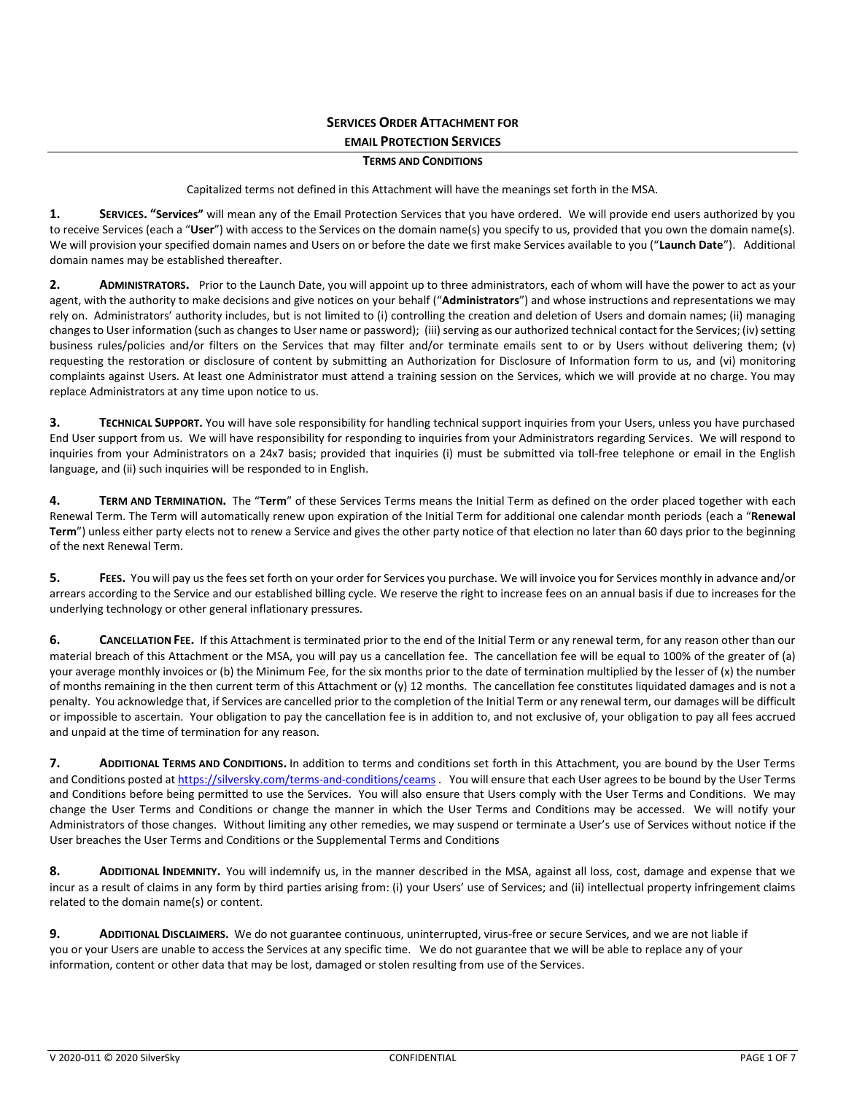# **SERVICES ORDER ATTACHMENT FOR EMAIL PROTECTION SERVICES**

# **TERMS AND CONDITIONS**

Capitalized terms not defined in this Attachment will have the meanings set forth in the MSA.

**1. SERVICES. "Services"** will mean any of the Email Protection Services that you have ordered. We will provide end users authorized by you to receive Services (each a "**User**") with access to the Services on the domain name(s) you specify to us, provided that you own the domain name(s). We will provision your specified domain names and Users on or before the date we first make Services available to you ("**Launch Date**"). Additional domain names may be established thereafter.

**2. ADMINISTRATORS.** Prior to the Launch Date, you will appoint up to three administrators, each of whom will have the power to act as your agent, with the authority to make decisions and give notices on your behalf ("**Administrators**") and whose instructions and representations we may rely on. Administrators' authority includes, but is not limited to (i) controlling the creation and deletion of Users and domain names; (ii) managing changes to User information (such as changes to User name or password); (iii) serving as our authorized technical contact for the Services; (iv) setting business rules/policies and/or filters on the Services that may filter and/or terminate emails sent to or by Users without delivering them; (v) requesting the restoration or disclosure of content by submitting an Authorization for Disclosure of Information form to us, and (vi) monitoring complaints against Users. At least one Administrator must attend a training session on the Services, which we will provide at no charge. You may replace Administrators at any time upon notice to us.

**3. TECHNICAL SUPPORT.** You will have sole responsibility for handling technical support inquiries from your Users, unless you have purchased End User support from us. We will have responsibility for responding to inquiries from your Administrators regarding Services. We will respond to inquiries from your Administrators on a 24x7 basis; provided that inquiries (i) must be submitted via toll-free telephone or email in the English language, and (ii) such inquiries will be responded to in English.

**4. TERM AND TERMINATION.** The "**Term**" of these Services Terms means the Initial Term as defined on the order placed together with each Renewal Term. The Term will automatically renew upon expiration of the Initial Term for additional one calendar month periods (each a "**Renewal Term**") unless either party elects not to renew a Service and gives the other party notice of that election no later than 60 days prior to the beginning of the next Renewal Term.

**5. FEES.** You will pay us the fees set forth on your order for Services you purchase. We will invoice you for Services monthly in advance and/or arrears according to the Service and our established billing cycle. We reserve the right to increase fees on an annual basis if due to increases for the underlying technology or other general inflationary pressures.

**6. CANCELLATION FEE.** If this Attachment is terminated prior to the end of the Initial Term or any renewal term, for any reason other than our material breach of this Attachment or the MSA, you will pay us a cancellation fee. The cancellation fee will be equal to 100% of the greater of (a) your average monthly invoices or (b) the Minimum Fee, for the six months prior to the date of termination multiplied by the lesser of (x) the number of months remaining in the then current term of this Attachment or (y) 12 months. The cancellation fee constitutes liquidated damages and is not a penalty. You acknowledge that, if Services are cancelled prior to the completion of the Initial Term or any renewal term, our damages will be difficult or impossible to ascertain. Your obligation to pay the cancellation fee is in addition to, and not exclusive of, your obligation to pay all fees accrued and unpaid at the time of termination for any reason.

**7. ADDITIONAL TERMS AND CONDITIONS.** In addition to terms and conditions set forth in this Attachment, you are bound by the User Terms and Conditions posted at [https://silversky.com/terms-and-conditions/c](https://silversky.com/terms-and-conditions/)eams . You will ensure that each User agrees to be bound by the User Terms and Conditions before being permitted to use the Services. You will also ensure that Users comply with the User Terms and Conditions. We may change the User Terms and Conditions or change the manner in which the User Terms and Conditions may be accessed. We will notify your Administrators of those changes. Without limiting any other remedies, we may suspend or terminate a User's use of Services without notice if the User breaches the User Terms and Conditions or the Supplemental Terms and Conditions

**8. ADDITIONAL INDEMNITY.** You will indemnify us, in the manner described in the MSA, against all loss, cost, damage and expense that we incur as a result of claims in any form by third parties arising from: (i) your Users' use of Services; and (ii) intellectual property infringement claims related to the domain name(s) or content.

**9. ADDITIONAL DISCLAIMERS.** We do not guarantee continuous, uninterrupted, virus-free or secure Services, and we are not liable if you or your Users are unable to access the Services at any specific time. We do not guarantee that we will be able to replace any of your information, content or other data that may be lost, damaged or stolen resulting from use of the Services.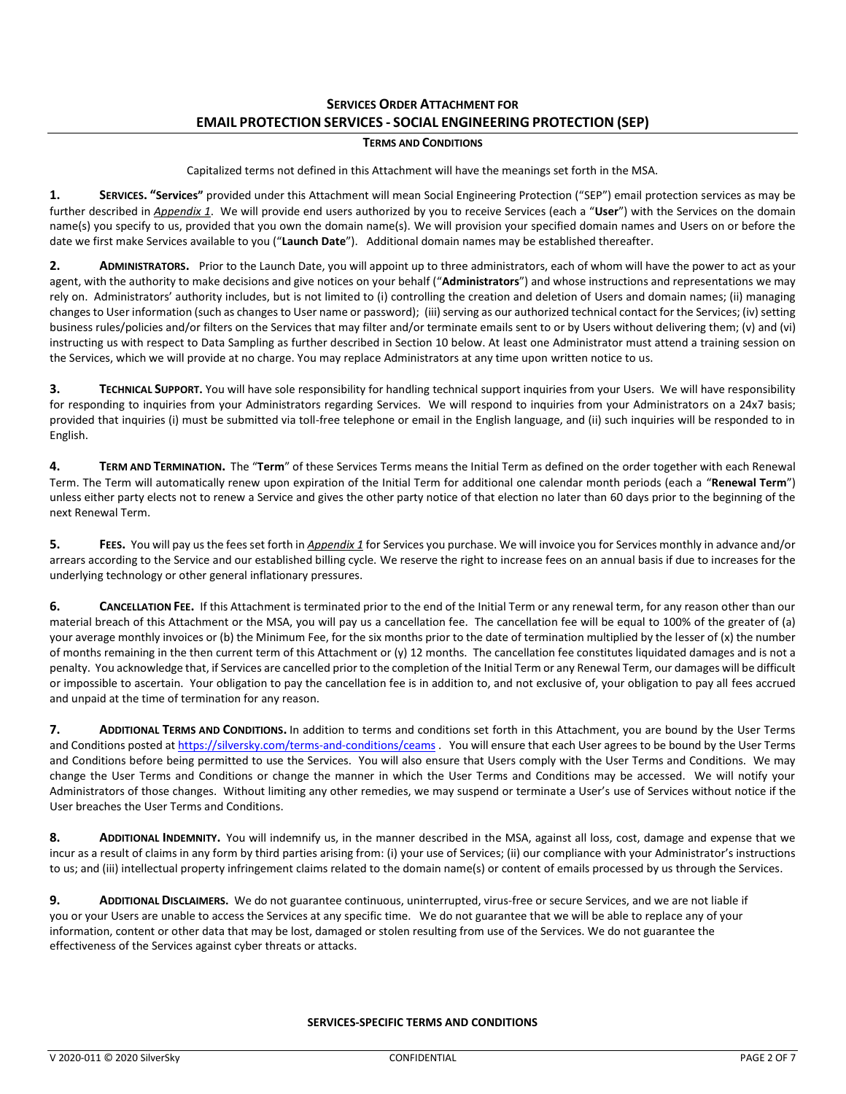# **SERVICES ORDER ATTACHMENT FOR EMAIL PROTECTION SERVICES - SOCIAL ENGINEERING PROTECTION (SEP)**

# **TERMS AND CONDITIONS**

Capitalized terms not defined in this Attachment will have the meanings set forth in the MSA.

**1. SERVICES. "Services"** provided under this Attachment will mean Social Engineering Protection ("SEP") email protection services as may be further described in *Appendix 1*. We will provide end users authorized by you to receive Services (each a "**User**") with the Services on the domain name(s) you specify to us, provided that you own the domain name(s). We will provision your specified domain names and Users on or before the date we first make Services available to you ("**Launch Date**"). Additional domain names may be established thereafter.

**2. ADMINISTRATORS.** Prior to the Launch Date, you will appoint up to three administrators, each of whom will have the power to act as your agent, with the authority to make decisions and give notices on your behalf ("**Administrators**") and whose instructions and representations we may rely on. Administrators' authority includes, but is not limited to (i) controlling the creation and deletion of Users and domain names; (ii) managing changes to User information (such as changes to User name or password); (iii) serving as our authorized technical contact for the Services; (iv) setting business rules/policies and/or filters on the Services that may filter and/or terminate emails sent to or by Users without delivering them; (v) and (vi) instructing us with respect to Data Sampling as further described in Section 10 below. At least one Administrator must attend a training session on the Services, which we will provide at no charge. You may replace Administrators at any time upon written notice to us.

**3. TECHNICAL SUPPORT.** You will have sole responsibility for handling technical support inquiries from your Users. We will have responsibility for responding to inquiries from your Administrators regarding Services. We will respond to inquiries from your Administrators on a 24x7 basis; provided that inquiries (i) must be submitted via toll-free telephone or email in the English language, and (ii) such inquiries will be responded to in English.

**4. TERM AND TERMINATION.** The "**Term**" of these Services Terms means the Initial Term as defined on the order together with each Renewal Term. The Term will automatically renew upon expiration of the Initial Term for additional one calendar month periods (each a "**Renewal Term**") unless either party elects not to renew a Service and gives the other party notice of that election no later than 60 days prior to the beginning of the next Renewal Term.

**5. FEES.** You will pay us the fees set forth in *Appendix 1* for Services you purchase. We will invoice you for Services monthly in advance and/or arrears according to the Service and our established billing cycle. We reserve the right to increase fees on an annual basis if due to increases for the underlying technology or other general inflationary pressures.

**6. CANCELLATION FEE.** If this Attachment is terminated prior to the end of the Initial Term or any renewal term, for any reason other than our material breach of this Attachment or the MSA, you will pay us a cancellation fee. The cancellation fee will be equal to 100% of the greater of (a) your average monthly invoices or (b) the Minimum Fee, for the six months prior to the date of termination multiplied by the lesser of (x) the number of months remaining in the then current term of this Attachment or (y) 12 months. The cancellation fee constitutes liquidated damages and is not a penalty. You acknowledge that, if Services are cancelled prior to the completion of the Initial Term or any Renewal Term, our damages will be difficult or impossible to ascertain. Your obligation to pay the cancellation fee is in addition to, and not exclusive of, your obligation to pay all fees accrued and unpaid at the time of termination for any reason.

**7. ADDITIONAL TERMS AND CONDITIONS.** In addition to terms and conditions set forth in this Attachment, you are bound by the User Terms and Conditions posted at [https://silversky.com/terms-and-conditions/c](https://silversky.com/terms-and-conditions/)eams . You will ensure that each User agrees to be bound by the User Terms and Conditions before being permitted to use the Services. You will also ensure that Users comply with the User Terms and Conditions. We may change the User Terms and Conditions or change the manner in which the User Terms and Conditions may be accessed. We will notify your Administrators of those changes. Without limiting any other remedies, we may suspend or terminate a User's use of Services without notice if the User breaches the User Terms and Conditions.

**8. ADDITIONAL INDEMNITY.** You will indemnify us, in the manner described in the MSA, against all loss, cost, damage and expense that we incur as a result of claims in any form by third parties arising from: (i) your use of Services: (ii) our compliance with your Administrator's instructions to us; and (iii) intellectual property infringement claims related to the domain name(s) or content of emails processed by us through the Services.

**9. ADDITIONAL DISCLAIMERS.** We do not guarantee continuous, uninterrupted, virus-free or secure Services, and we are not liable if you or your Users are unable to access the Services at any specific time. We do not guarantee that we will be able to replace any of your information, content or other data that may be lost, damaged or stolen resulting from use of the Services. We do not guarantee the effectiveness of the Services against cyber threats or attacks.

# **SERVICES-SPECIFIC TERMS AND CONDITIONS**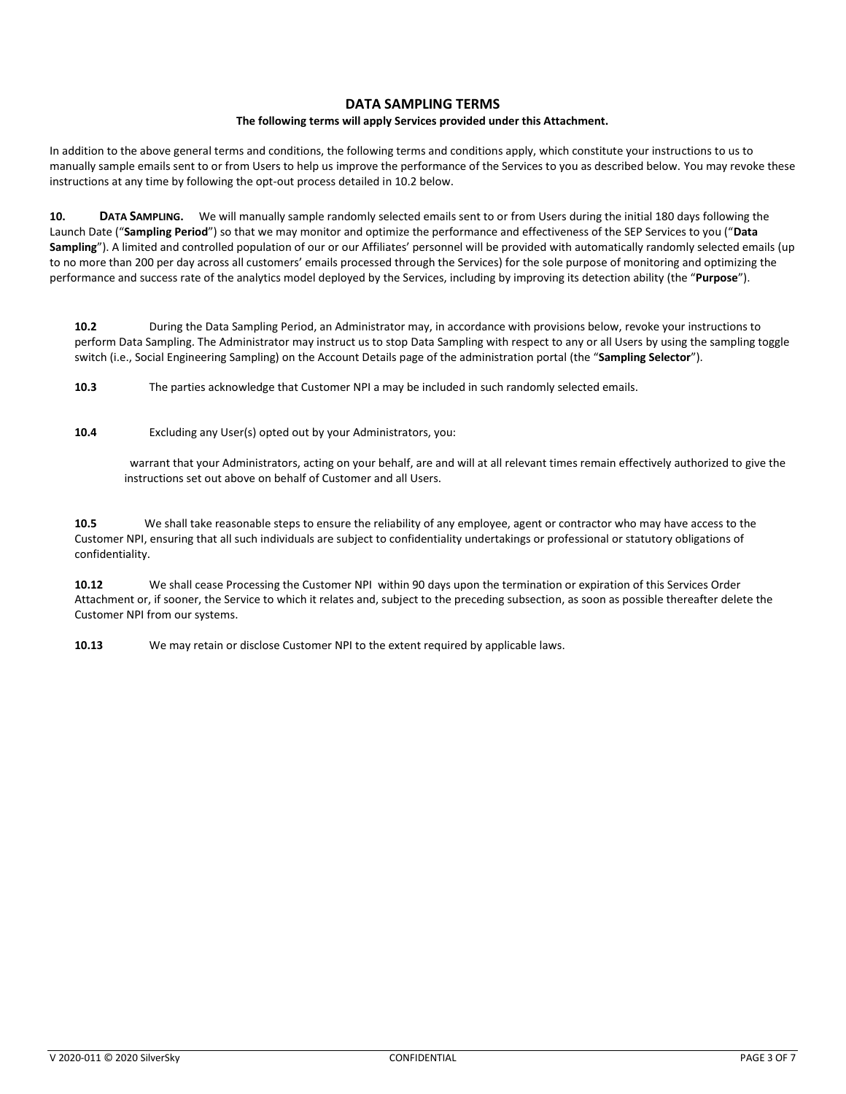# **DATA SAMPLING TERMS**

## **The following terms will apply Services provided under this Attachment.**

In addition to the above general terms and conditions, the following terms and conditions apply, which constitute your instructions to us to manually sample emails sent to or from Users to help us improve the performance of the Services to you as described below. You may revoke these instructions at any time by following the opt-out process detailed in 10.2 below.

**10. DATA SAMPLING.** We will manually sample randomly selected emails sent to or from Users during the initial 180 days following the Launch Date ("**Sampling Period**") so that we may monitor and optimize the performance and effectiveness of the SEP Services to you ("**Data Sampling**"). A limited and controlled population of our or our Affiliates' personnel will be provided with automatically randomly selected emails (up to no more than 200 per day across all customers' emails processed through the Services) for the sole purpose of monitoring and optimizing the performance and success rate of the analytics model deployed by the Services, including by improving its detection ability (the "**Purpose**").

**10.2** During the Data Sampling Period, an Administrator may, in accordance with provisions below, revoke your instructions to perform Data Sampling. The Administrator may instruct us to stop Data Sampling with respect to any or all Users by using the sampling toggle switch (i.e., Social Engineering Sampling) on the Account Details page of the administration portal (the "**Sampling Selector**").

**10.3** The parties acknowledge that Customer NPI a may be included in such randomly selected emails.

**10.4** Excluding any User(s) opted out by your Administrators, you:

 warrant that your Administrators, acting on your behalf, are and will at all relevant times remain effectively authorized to give the instructions set out above on behalf of Customer and all Users.

**10.5** We shall take reasonable steps to ensure the reliability of any employee, agent or contractor who may have access to the Customer NPI, ensuring that all such individuals are subject to confidentiality undertakings or professional or statutory obligations of confidentiality.

**10.12** We shall cease Processing the Customer NPI within 90 days upon the termination or expiration of this Services Order Attachment or, if sooner, the Service to which it relates and, subject to the preceding subsection, as soon as possible thereafter delete the Customer NPI from our systems.

**10.13** We may retain or disclose Customer NPI to the extent required by applicable laws.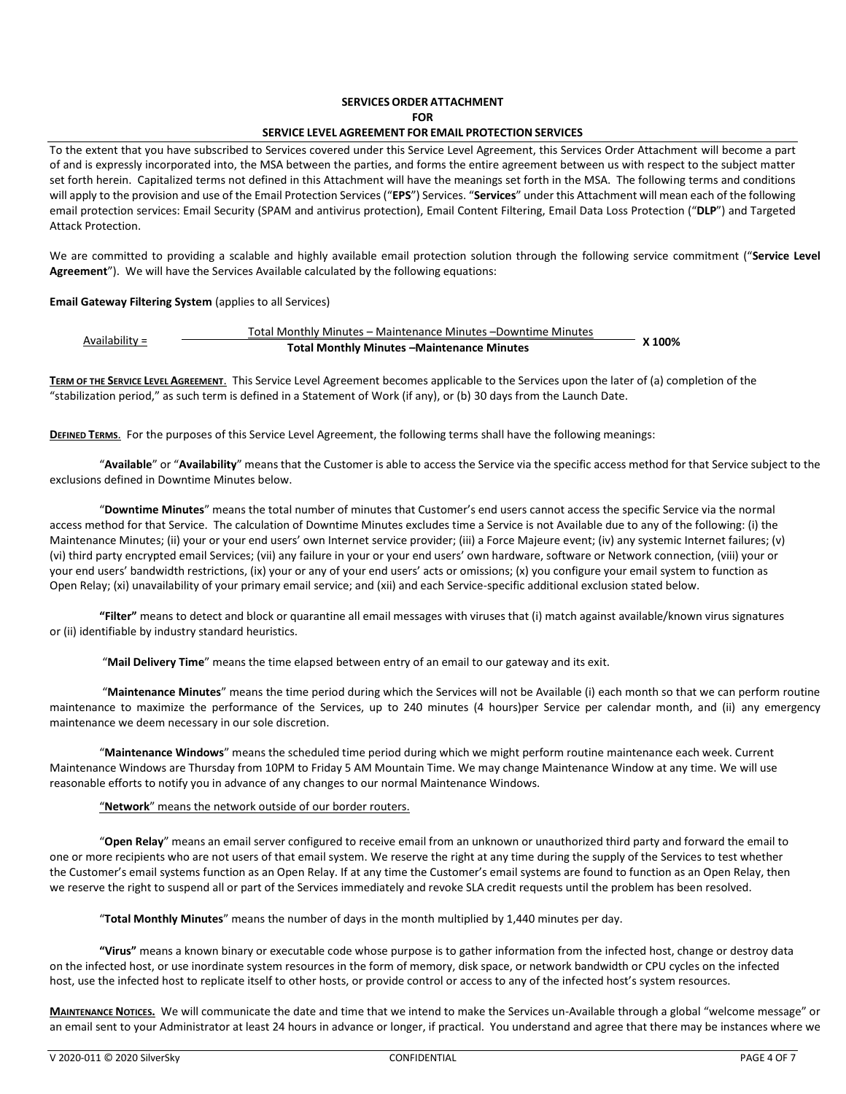# **SERVICES ORDER ATTACHMENT FOR**

# **SERVICE LEVEL AGREEMENT FOR EMAIL PROTECTION SERVICES**

To the extent that you have subscribed to Services covered under this Service Level Agreement, this Services Order Attachment will become a part of and is expressly incorporated into, the MSA between the parties, and forms the entire agreement between us with respect to the subject matter set forth herein. Capitalized terms not defined in this Attachment will have the meanings set forth in the MSA. The following terms and conditions will apply to the provision and use of the Email Protection Services ("**EPS**") Services. "**Services**" under this Attachment will mean each of the following email protection services: Email Security (SPAM and antivirus protection), Email Content Filtering, Email Data Loss Protection ("**DLP**") and Targeted Attack Protection.

We are committed to providing a scalable and highly available email protection solution through the following service commitment ("**Service Level Agreement**"). We will have the Services Available calculated by the following equations:

### **Email Gateway Filtering System** (applies to all Services)

| Availabilitv = | Total Monthly Minutes - Maintenance Minutes - Downtime Minutes |        |
|----------------|----------------------------------------------------------------|--------|
|                | <b>Total Monthly Minutes -Maintenance Minutes</b>              | X 100% |

**TERM OF THE SERVICE LEVEL AGREEMENT**. This Service Level Agreement becomes applicable to the Services upon the later of (a) completion of the "stabilization period," as such term is defined in a Statement of Work (if any), or (b) 30 days from the Launch Date.

**DEFINED TERMS**. For the purposes of this Service Level Agreement, the following terms shall have the following meanings:

"**Available**" or "**Availability**" means that the Customer is able to access the Service via the specific access method for that Service subject to the exclusions defined in Downtime Minutes below.

"**Downtime Minutes**" means the total number of minutes that Customer's end users cannot access the specific Service via the normal access method for that Service. The calculation of Downtime Minutes excludes time a Service is not Available due to any of the following: (i) the Maintenance Minutes; (ii) your or your end users' own Internet service provider; (iii) a Force Majeure event; (iv) any systemic Internet failures; (v) (vi) third party encrypted email Services; (vii) any failure in your or your end users' own hardware, software or Network connection, (viii) your or your end users' bandwidth restrictions, (ix) your or any of your end users' acts or omissions; (x) you configure your email system to function as Open Relay; (xi) unavailability of your primary email service; and (xii) and each Service-specific additional exclusion stated below.

**"Filter"** means to detect and block or quarantine all email messages with viruses that (i) match against available/known virus signatures or (ii) identifiable by industry standard heuristics.

"**Mail Delivery Time**" means the time elapsed between entry of an email to our gateway and its exit.

"**Maintenance Minutes**" means the time period during which the Services will not be Available (i) each month so that we can perform routine maintenance to maximize the performance of the Services, up to 240 minutes (4 hours)per Service per calendar month, and (ii) any emergency maintenance we deem necessary in our sole discretion.

"**Maintenance Windows**" means the scheduled time period during which we might perform routine maintenance each week. Current Maintenance Windows are Thursday from 10PM to Friday 5 AM Mountain Time. We may change Maintenance Window at any time. We will use reasonable efforts to notify you in advance of any changes to our normal Maintenance Windows.

## "**Network**" means the network outside of our border routers.

"**Open Relay**" means an email server configured to receive email from an unknown or unauthorized third party and forward the email to one or more recipients who are not users of that email system. We reserve the right at any time during the supply of the Services to test whether the Customer's email systems function as an Open Relay. If at any time the Customer's email systems are found to function as an Open Relay, then we reserve the right to suspend all or part of the Services immediately and revoke SLA credit requests until the problem has been resolved.

"**Total Monthly Minutes**" means the number of days in the month multiplied by 1,440 minutes per day.

**"Virus"** means a known binary or executable code whose purpose is to gather information from the infected host, change or destroy data on the infected host, or use inordinate system resources in the form of memory, disk space, or network bandwidth or CPU cycles on the infected host, use the infected host to replicate itself to other hosts, or provide control or access to any of the infected host's system resources.

**MAINTENANCE NOTICES.** We will communicate the date and time that we intend to make the Services un-Available through a global "welcome message" or an email sent to your Administrator at least 24 hours in advance or longer, if practical. You understand and agree that there may be instances where we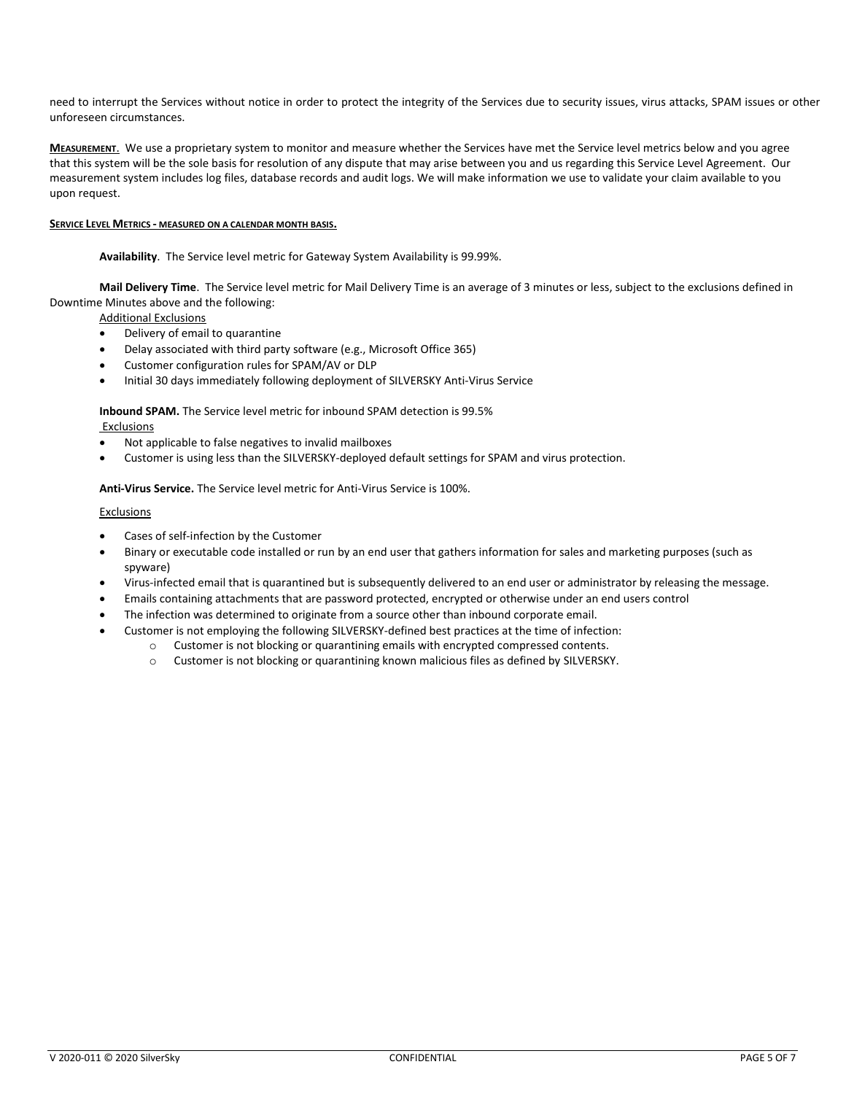need to interrupt the Services without notice in order to protect the integrity of the Services due to security issues, virus attacks, SPAM issues or other unforeseen circumstances.

**MEASUREMENT**.We use a proprietary system to monitor and measure whether the Services have met the Service level metrics below and you agree that this system will be the sole basis for resolution of any dispute that may arise between you and us regarding this Service Level Agreement. Our measurement system includes log files, database records and audit logs. We will make information we use to validate your claim available to you upon request.

# **SERVICE LEVEL METRICS - MEASURED ON A CALENDAR MONTH BASIS.**

**Availability**. The Service level metric for Gateway System Availability is 99.99%.

**Mail Delivery Time**. The Service level metric for Mail Delivery Time is an average of 3 minutes or less, subject to the exclusions defined in Downtime Minutes above and the following:

Additional Exclusions

- Delivery of email to quarantine
- Delay associated with third party software (e.g., Microsoft Office 365)
- Customer configuration rules for SPAM/AV or DLP
- Initial 30 days immediately following deployment of SILVERSKY Anti-Virus Service

**Inbound SPAM.** The Service level metric for inbound SPAM detection is 99.5%

## Exclusions

- Not applicable to false negatives to invalid mailboxes
- Customer is using less than the SILVERSKY-deployed default settings for SPAM and virus protection.

**Anti-Virus Service.** The Service level metric for Anti-Virus Service is 100%.

## Exclusions

- Cases of self-infection by the Customer
- Binary or executable code installed or run by an end user that gathers information for sales and marketing purposes (such as spyware)
- Virus-infected email that is quarantined but is subsequently delivered to an end user or administrator by releasing the message.
- Emails containing attachments that are password protected, encrypted or otherwise under an end users control
- The infection was determined to originate from a source other than inbound corporate email.
	- Customer is not employing the following SILVERSKY-defined best practices at the time of infection:
		- o Customer is not blocking or quarantining emails with encrypted compressed contents.
			- o Customer is not blocking or quarantining known malicious files as defined by SILVERSKY.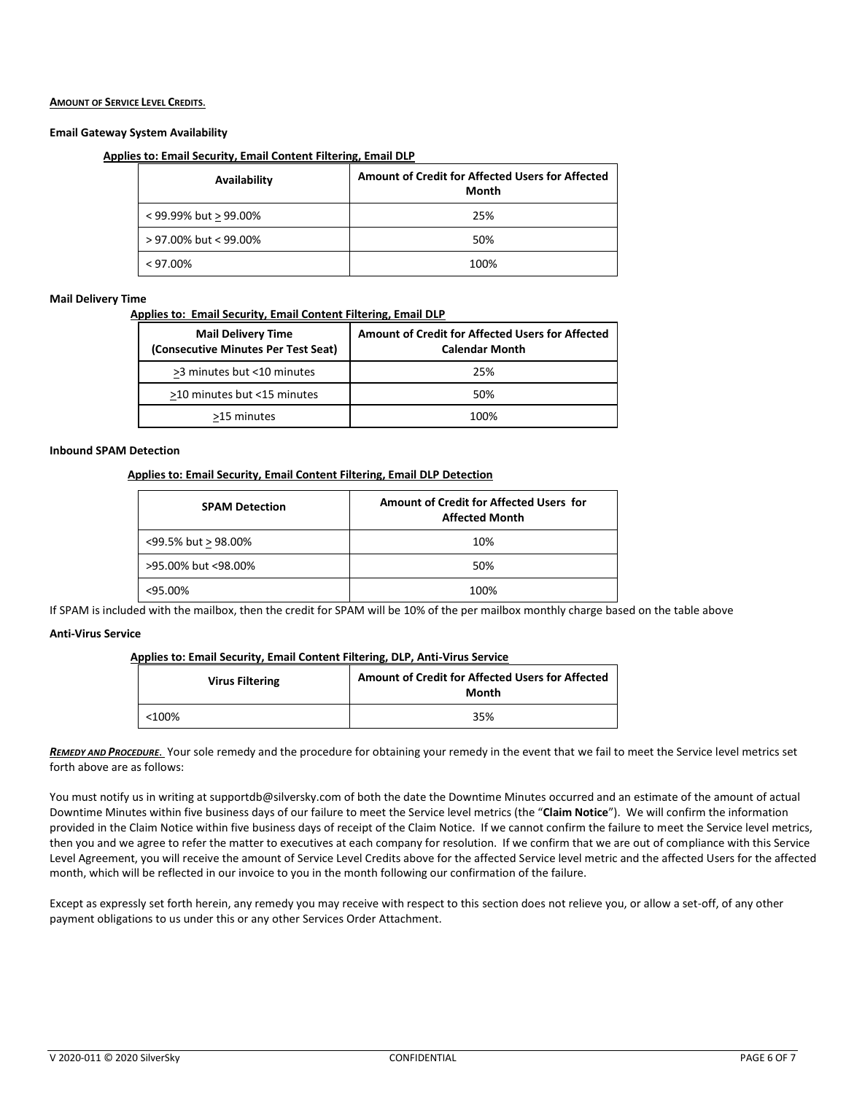## **AMOUNT OF SERVICE LEVEL CREDITS**.

# **Email Gateway System Availability**

# **Applies to: Email Security, Email Content Filtering, Email DLP**

| Availability          | Amount of Credit for Affected Users for Affected<br>Month |
|-----------------------|-----------------------------------------------------------|
| < 99.99% but > 99.00% | 25%                                                       |
| > 97.00% but < 99.00% | 50%                                                       |
| $< 97.00\%$           | 100%                                                      |

#### **Mail Delivery Time**

 **Applies to: Email Security, Email Content Filtering, Email DLP**

| <b>Mail Delivery Time</b><br>(Consecutive Minutes Per Test Seat) | Amount of Credit for Affected Users for Affected<br><b>Calendar Month</b> |
|------------------------------------------------------------------|---------------------------------------------------------------------------|
| >3 minutes but <10 minutes                                       | 25%                                                                       |
| >10 minutes but <15 minutes                                      | 50%                                                                       |
| >15 minutes                                                      | 1በበ%                                                                      |

## **Inbound SPAM Detection**

## **Applies to: Email Security, Email Content Filtering, Email DLP Detection**

| <b>SPAM Detection</b> | Amount of Credit for Affected Users for<br><b>Affected Month</b> |
|-----------------------|------------------------------------------------------------------|
| <99.5% but > 98.00%   | 10%                                                              |
| >95.00% but <98.00%   | 50%                                                              |
| $<$ 95.00%            | 100%                                                             |

If SPAM is included with the mailbox, then the credit for SPAM will be 10% of the per mailbox monthly charge based on the table above

### **Anti-Virus Service**

### **Applies to: Email Security, Email Content Filtering, DLP, Anti-Virus Service**

| <b>Virus Filtering</b> | Amount of Credit for Affected Users for Affected<br>Month |
|------------------------|-----------------------------------------------------------|
| $<$ 100%               | 35%                                                       |

*REMEDY AND PROCEDURE*. Your sole remedy and the procedure for obtaining your remedy in the event that we fail to meet the Service level metrics set forth above are as follows:

You must notify us in writing at supportdb@silversky.com of both the date the Downtime Minutes occurred and an estimate of the amount of actual Downtime Minutes within five business days of our failure to meet the Service level metrics (the "**Claim Notice**"). We will confirm the information provided in the Claim Notice within five business days of receipt of the Claim Notice. If we cannot confirm the failure to meet the Service level metrics, then you and we agree to refer the matter to executives at each company for resolution. If we confirm that we are out of compliance with this Service Level Agreement, you will receive the amount of Service Level Credits above for the affected Service level metric and the affected Users for the affected month, which will be reflected in our invoice to you in the month following our confirmation of the failure.

Except as expressly set forth herein, any remedy you may receive with respect to this section does not relieve you, or allow a set-off, of any other payment obligations to us under this or any other Services Order Attachment.